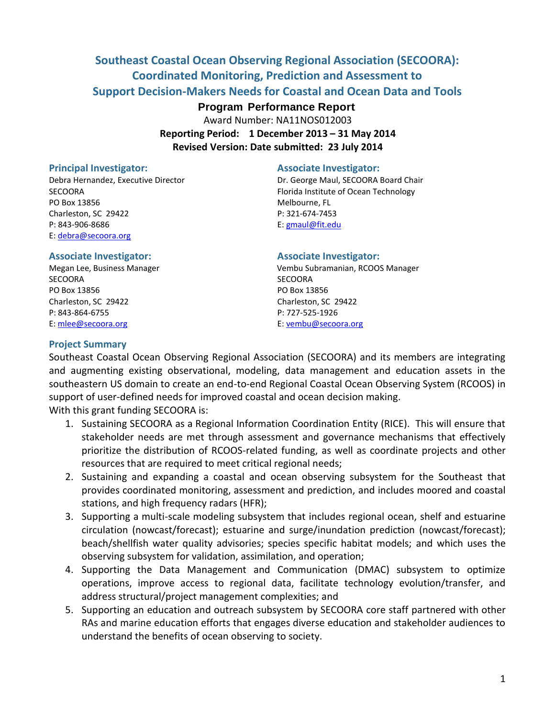# **Southeast Coastal Ocean Observing Regional Association (SECOORA): Coordinated Monitoring, Prediction and Assessment to Support Decision-Makers Needs for Coastal and Ocean Data and Tools**

# **Program Performance Report**

Award Number: NA11NOS012003 **Reporting Period: 1 December 2013 – 31 May 2014 Revised Version: Date submitted: 23 July 2014**

PO Box 13856 Melbourne, FL Charleston, SC 29422 P: 321-674-7453 P: 843-906-8686 E: [gmaul@fit.edu](mailto:gmaul@fit.edu) E: [debra@secoora.org](mailto:debra@secoora.org)

### **Associate Investigator: Associate Investigator:**

SECOORA SECOORA PO Box 13856 PO Box 13856 Charleston, SC 29422 Charleston, SC 29422 P: 843-864-6755 P: 727-525-1926 E[: mlee@secoora.org](mailto:mlee@secoora.org) E: [vembu@secoora.org](mailto:vembu@secoora.org)

#### **Principal Investigator: Associate Investigator:**

Debra Hernandez, Executive Director Dr. George Maul, SECOORA Board Chair SECOORA **Florida Institute of Ocean Technology** 

Megan Lee, Business Manager Vembu Subramanian, RCOOS Manager

### **Project Summary**

Southeast Coastal Ocean Observing Regional Association (SECOORA) and its members are integrating and augmenting existing observational, modeling, data management and education assets in the southeastern US domain to create an end-to-end Regional Coastal Ocean Observing System (RCOOS) in support of user-defined needs for improved coastal and ocean decision making.

With this grant funding SECOORA is:

- 1. Sustaining SECOORA as a Regional Information Coordination Entity (RICE). This will ensure that stakeholder needs are met through assessment and governance mechanisms that effectively prioritize the distribution of RCOOS-related funding, as well as coordinate projects and other resources that are required to meet critical regional needs;
- 2. Sustaining and expanding a coastal and ocean observing subsystem for the Southeast that provides coordinated monitoring, assessment and prediction, and includes moored and coastal stations, and high frequency radars (HFR);
- 3. Supporting a multi-scale modeling subsystem that includes regional ocean, shelf and estuarine circulation (nowcast/forecast); estuarine and surge/inundation prediction (nowcast/forecast); beach/shellfish water quality advisories; species specific habitat models; and which uses the observing subsystem for validation, assimilation, and operation;
- 4. Supporting the Data Management and Communication (DMAC) subsystem to optimize operations, improve access to regional data, facilitate technology evolution/transfer, and address structural/project management complexities; and
- 5. Supporting an education and outreach subsystem by SECOORA core staff partnered with other RAs and marine education efforts that engages diverse education and stakeholder audiences to understand the benefits of ocean observing to society.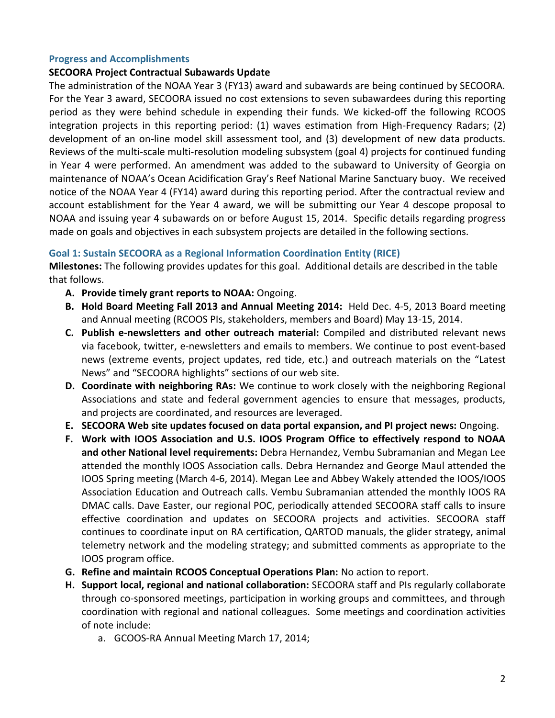# **Progress and Accomplishments**

# **SECOORA Project Contractual Subawards Update**

The administration of the NOAA Year 3 (FY13) award and subawards are being continued by SECOORA. For the Year 3 award, SECOORA issued no cost extensions to seven subawardees during this reporting period as they were behind schedule in expending their funds. We kicked-off the following RCOOS integration projects in this reporting period: (1) waves estimation from High-Frequency Radars; (2) development of an on-line model skill assessment tool, and (3) development of new data products. Reviews of the multi-scale multi-resolution modeling subsystem (goal 4) projects for continued funding in Year 4 were performed. An amendment was added to the subaward to University of Georgia on maintenance of NOAA's Ocean Acidification Gray's Reef National Marine Sanctuary buoy. We received notice of the NOAA Year 4 (FY14) award during this reporting period. After the contractual review and account establishment for the Year 4 award, we will be submitting our Year 4 descope proposal to NOAA and issuing year 4 subawards on or before August 15, 2014. Specific details regarding progress made on goals and objectives in each subsystem projects are detailed in the following sections.

# **Goal 1: Sustain SECOORA as a Regional Information Coordination Entity (RICE)**

**Milestones:** The following provides updates for this goal. Additional details are described in the table that follows.

- **A. Provide timely grant reports to NOAA:** Ongoing.
- **B. Hold Board Meeting Fall 2013 and Annual Meeting 2014:** Held Dec. 4-5, 2013 Board meeting and Annual meeting (RCOOS PIs, stakeholders, members and Board) May 13-15, 2014.
- **C. Publish e-newsletters and other outreach material:** Compiled and distributed relevant news via facebook, twitter, e-newsletters and emails to members. We continue to post event-based news (extreme events, project updates, red tide, etc.) and outreach materials on the "Latest News" and "SECOORA highlights" sections of our web site.
- **D. Coordinate with neighboring RAs:** We continue to work closely with the neighboring Regional Associations and state and federal government agencies to ensure that messages, products, and projects are coordinated, and resources are leveraged.
- **E. SECOORA Web site updates focused on data portal expansion, and PI project news:** Ongoing.
- **F. Work with IOOS Association and U.S. IOOS Program Office to effectively respond to NOAA and other National level requirements:** Debra Hernandez, Vembu Subramanian and Megan Lee attended the monthly IOOS Association calls. Debra Hernandez and George Maul attended the IOOS Spring meeting (March 4-6, 2014). Megan Lee and Abbey Wakely attended the IOOS/IOOS Association Education and Outreach calls. Vembu Subramanian attended the monthly IOOS RA DMAC calls. Dave Easter, our regional POC, periodically attended SECOORA staff calls to insure effective coordination and updates on SECOORA projects and activities. SECOORA staff continues to coordinate input on RA certification, QARTOD manuals, the glider strategy, animal telemetry network and the modeling strategy; and submitted comments as appropriate to the IOOS program office.
- **G. Refine and maintain RCOOS Conceptual Operations Plan:** No action to report.
- **H. Support local, regional and national collaboration:** SECOORA staff and PIs regularly collaborate through co-sponsored meetings, participation in working groups and committees, and through coordination with regional and national colleagues. Some meetings and coordination activities of note include:
	- a. GCOOS-RA Annual Meeting March 17, 2014;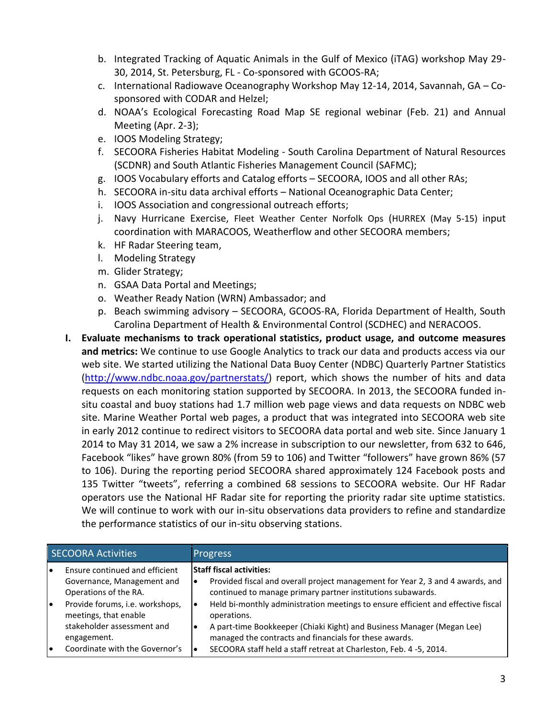- b. Integrated Tracking of Aquatic Animals in the Gulf of Mexico (iTAG) workshop May 29- 30, 2014, St. Petersburg, FL - Co-sponsored with GCOOS-RA;
- c. International Radiowave Oceanography Workshop May 12-14, 2014, Savannah, GA Cosponsored with CODAR and Helzel;
- d. NOAA's Ecological Forecasting Road Map SE regional webinar (Feb. 21) and Annual Meeting (Apr. 2-3);
- e. IOOS Modeling Strategy;
- f. SECOORA Fisheries Habitat Modeling South Carolina Department of Natural Resources (SCDNR) and South Atlantic Fisheries Management Council (SAFMC);
- g. IOOS Vocabulary efforts and Catalog efforts SECOORA, IOOS and all other RAs;
- h. SECOORA in-situ data archival efforts National Oceanographic Data Center;
- i. IOOS Association and congressional outreach efforts;
- j. Navy Hurricane Exercise, Fleet Weather Center Norfolk Ops (HURREX (May 5-15) input coordination with MARACOOS, Weatherflow and other SECOORA members;
- k. HF Radar Steering team,
- l. Modeling Strategy
- m. Glider Strategy;
- n. GSAA Data Portal and Meetings;
- o. Weather Ready Nation (WRN) Ambassador; and
- p. Beach swimming advisory SECOORA, GCOOS-RA, Florida Department of Health, South Carolina Department of Health & Environmental Control (SCDHEC) and NERACOOS.
- **I. Evaluate mechanisms to track operational statistics, product usage, and outcome measures and metrics:** We continue to use Google Analytics to track our data and products access via our web site. We started utilizing the National Data Buoy Center (NDBC) Quarterly Partner Statistics [\(http://www.ndbc.noaa.gov/partnerstats/\)](http://www.ndbc.noaa.gov/partnerstats/) report, which shows the number of hits and data requests on each monitoring station supported by SECOORA. In 2013, the SECOORA funded insitu coastal and buoy stations had 1.7 million web page views and data requests on NDBC web site. Marine Weather Portal web pages, a product that was integrated into SECOORA web site in early 2012 continue to redirect visitors to SECOORA data portal and web site. Since January 1 2014 to May 31 2014, we saw a 2% increase in subscription to our newsletter, from 632 to 646, Facebook "likes" have grown 80% (from 59 to 106) and Twitter "followers" have grown 86% (57 to 106). During the reporting period SECOORA shared approximately 124 Facebook posts and 135 Twitter "tweets", referring a combined 68 sessions to SECOORA website. Our HF Radar operators use the National HF Radar site for reporting the priority radar site uptime statistics. We will continue to work with our in-situ observations data providers to refine and standardize the performance statistics of our in-situ observing stations.

| <b>SECOORA Activities</b> |                                                                                                       |           | <b>Progress</b>                                                                                                                                                                                                                     |
|---------------------------|-------------------------------------------------------------------------------------------------------|-----------|-------------------------------------------------------------------------------------------------------------------------------------------------------------------------------------------------------------------------------------|
| I۰                        | Ensure continued and efficient<br>Governance, Management and<br>Operations of the RA.                 | $\bullet$ | <b>Staff fiscal activities:</b><br>Provided fiscal and overall project management for Year 2, 3 and 4 awards, and<br>continued to manage primary partner institutions subawards.                                                    |
| I۰                        | Provide forums, i.e. workshops,<br>meetings, that enable<br>stakeholder assessment and<br>engagement. |           | Held bi-monthly administration meetings to ensure efficient and effective fiscal<br>operations.<br>A part-time Bookkeeper (Chiaki Kight) and Business Manager (Megan Lee)<br>managed the contracts and financials for these awards. |
| l e                       | Coordinate with the Governor's                                                                        |           | SECOORA staff held a staff retreat at Charleston, Feb. 4 -5, 2014.                                                                                                                                                                  |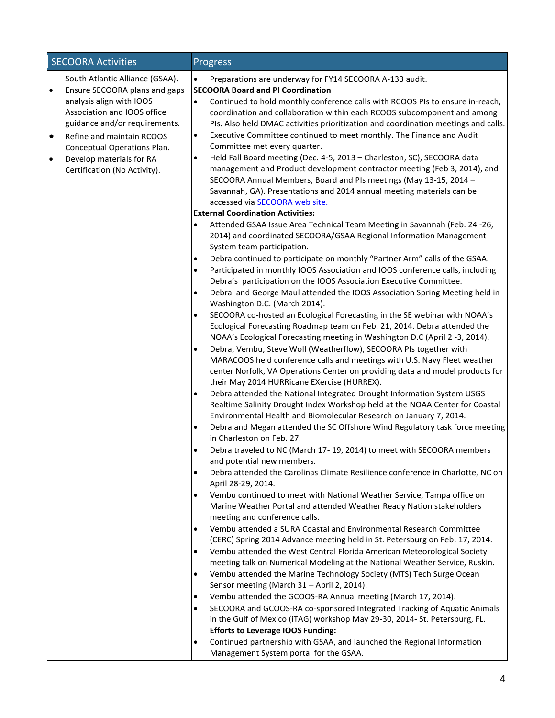|           | <b>SECOORA Activities</b>                                                                    | Progress                                                                                                                                                                                                                                                                                                                                                                                |
|-----------|----------------------------------------------------------------------------------------------|-----------------------------------------------------------------------------------------------------------------------------------------------------------------------------------------------------------------------------------------------------------------------------------------------------------------------------------------------------------------------------------------|
| $\bullet$ | South Atlantic Alliance (GSAA).<br>Ensure SECOORA plans and gaps<br>analysis align with IOOS | $\bullet$<br>Preparations are underway for FY14 SECOORA A-133 audit.<br><b>SECOORA Board and PI Coordination</b><br>$\bullet$                                                                                                                                                                                                                                                           |
| $\bullet$ | Association and IOOS office<br>guidance and/or requirements.<br>Refine and maintain RCOOS    | Continued to hold monthly conference calls with RCOOS PIs to ensure in-reach,<br>coordination and collaboration within each RCOOS subcomponent and among<br>PIs. Also held DMAC activities prioritization and coordination meetings and calls.<br>Executive Committee continued to meet monthly. The Finance and Audit<br>$\bullet$                                                     |
| $\bullet$ | Conceptual Operations Plan.<br>Develop materials for RA<br>Certification (No Activity).      | Committee met every quarter.<br>Held Fall Board meeting (Dec. 4-5, 2013 - Charleston, SC), SECOORA data<br>$\bullet$<br>management and Product development contractor meeting (Feb 3, 2014), and<br>SECOORA Annual Members, Board and PIs meetings (May 13-15, 2014 -<br>Savannah, GA). Presentations and 2014 annual meeting materials can be<br>accessed via <b>SECOORA</b> web site. |
|           |                                                                                              | <b>External Coordination Activities:</b>                                                                                                                                                                                                                                                                                                                                                |
|           |                                                                                              | Attended GSAA Issue Area Technical Team Meeting in Savannah (Feb. 24 -26,<br>$\bullet$<br>2014) and coordinated SECOORA/GSAA Regional Information Management<br>System team participation.                                                                                                                                                                                              |
|           |                                                                                              | Debra continued to participate on monthly "Partner Arm" calls of the GSAA.<br>٠                                                                                                                                                                                                                                                                                                         |
|           |                                                                                              | Participated in monthly IOOS Association and IOOS conference calls, including<br>$\bullet$<br>Debra's participation on the IOOS Association Executive Committee.                                                                                                                                                                                                                        |
|           |                                                                                              | Debra and George Maul attended the IOOS Association Spring Meeting held in<br>$\bullet$<br>Washington D.C. (March 2014).                                                                                                                                                                                                                                                                |
|           |                                                                                              | SECOORA co-hosted an Ecological Forecasting in the SE webinar with NOAA's                                                                                                                                                                                                                                                                                                               |
|           |                                                                                              | Ecological Forecasting Roadmap team on Feb. 21, 2014. Debra attended the                                                                                                                                                                                                                                                                                                                |
|           |                                                                                              | NOAA's Ecological Forecasting meeting in Washington D.C (April 2 -3, 2014).                                                                                                                                                                                                                                                                                                             |
|           |                                                                                              | Debra, Vembu, Steve Woll (Weatherflow), SECOORA PIs together with<br>MARACOOS held conference calls and meetings with U.S. Navy Fleet weather<br>center Norfolk, VA Operations Center on providing data and model products for<br>their May 2014 HURRicane EXercise (HURREX).                                                                                                           |
|           |                                                                                              | Debra attended the National Integrated Drought Information System USGS<br>$\bullet$<br>Realtime Salinity Drought Index Workshop held at the NOAA Center for Coastal<br>Environmental Health and Biomolecular Research on January 7, 2014.                                                                                                                                               |
|           |                                                                                              | Debra and Megan attended the SC Offshore Wind Regulatory task force meeting<br>$\bullet$<br>in Charleston on Feb. 27.                                                                                                                                                                                                                                                                   |
|           |                                                                                              | Debra traveled to NC (March 17-19, 2014) to meet with SECOORA members<br>$\bullet$<br>and potential new members.                                                                                                                                                                                                                                                                        |
|           |                                                                                              | Debra attended the Carolinas Climate Resilience conference in Charlotte, NC on<br>$\bullet$<br>April 28-29, 2014.                                                                                                                                                                                                                                                                       |
|           |                                                                                              | Vembu continued to meet with National Weather Service, Tampa office on<br>Marine Weather Portal and attended Weather Ready Nation stakeholders<br>meeting and conference calls.                                                                                                                                                                                                         |
|           |                                                                                              | Vembu attended a SURA Coastal and Environmental Research Committee<br>٠<br>(CERC) Spring 2014 Advance meeting held in St. Petersburg on Feb. 17, 2014.                                                                                                                                                                                                                                  |
|           |                                                                                              | Vembu attended the West Central Florida American Meteorological Society<br>$\bullet$<br>meeting talk on Numerical Modeling at the National Weather Service, Ruskin.                                                                                                                                                                                                                     |
|           |                                                                                              | Vembu attended the Marine Technology Society (MTS) Tech Surge Ocean<br>$\bullet$<br>Sensor meeting (March 31 - April 2, 2014).                                                                                                                                                                                                                                                          |
|           |                                                                                              | Vembu attended the GCOOS-RA Annual meeting (March 17, 2014).<br>$\bullet$                                                                                                                                                                                                                                                                                                               |
|           |                                                                                              | SECOORA and GCOOS-RA co-sponsored Integrated Tracking of Aquatic Animals<br>$\bullet$                                                                                                                                                                                                                                                                                                   |
|           |                                                                                              | in the Gulf of Mexico (iTAG) workshop May 29-30, 2014- St. Petersburg, FL.                                                                                                                                                                                                                                                                                                              |
|           |                                                                                              | <b>Efforts to Leverage IOOS Funding:</b>                                                                                                                                                                                                                                                                                                                                                |
|           |                                                                                              | Continued partnership with GSAA, and launched the Regional Information<br>$\bullet$<br>Management System portal for the GSAA.                                                                                                                                                                                                                                                           |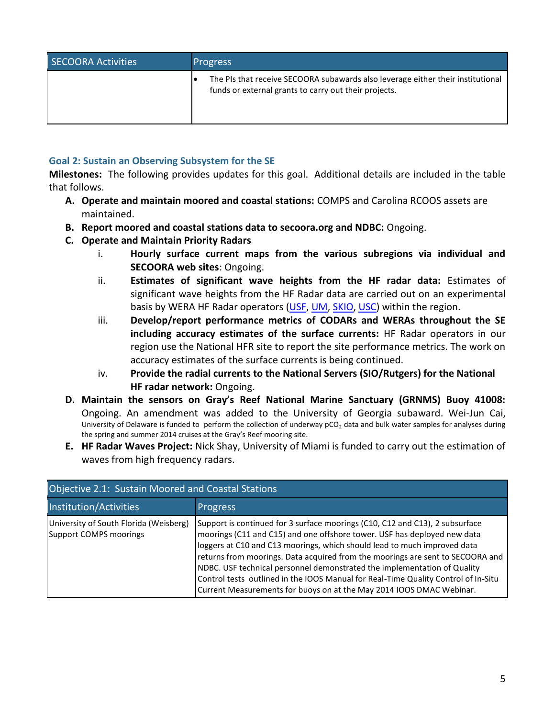| <b>SECOORA Activities</b> | <b>Progress</b>                                                                                                                          |
|---------------------------|------------------------------------------------------------------------------------------------------------------------------------------|
|                           | The PIs that receive SECOORA subawards also leverage either their institutional<br>funds or external grants to carry out their projects. |

# **Goal 2: Sustain an Observing Subsystem for the SE**

**Milestones:** The following provides updates for this goal. Additional details are included in the table that follows.

- **A. Operate and maintain moored and coastal stations:** COMPS and Carolina RCOOS assets are maintained.
- **B. Report moored and coastal stations data to secoora.org and NDBC:** Ongoing.
- **C. Operate and Maintain Priority Radars**
	- i. **Hourly surface current maps from the various subregions via individual and SECOORA web sites**: Ongoing.
	- ii. **Estimates of significant wave heights from the HF radar data:** Estimates of significant wave heights from the HF Radar data are carried out on an experimental basis by WERA HF Radar operators [\(USF,](http://ocgweb.marine.usf.edu/hfradar/wera_wave_map.html) [UM,](http://iwave.rsmas.miami.edu/wera/info.php) [SKIO,](http://www.skio.usg.edu/?p=research/phy/sabsoon/wera/wera) [USC\)](http://www.geol.sc.edu/gvoulgar/WERA_link.html) within the region.
	- iii. **Develop/report performance metrics of CODARs and WERAs throughout the SE including accuracy estimates of the surface currents:** HF Radar operators in our region use the National HFR site to report the site performance metrics. The work on accuracy estimates of the surface currents is being continued.
	- iv. **Provide the radial currents to the National Servers (SIO/Rutgers) for the National HF radar network:** Ongoing.
- **D. Maintain the sensors on Gray's Reef National Marine Sanctuary (GRNMS) Buoy 41008:** Ongoing. An amendment was added to the University of Georgia subaward. Wei-Jun Cai, University of Delaware is funded to perform the collection of underway pCO<sub>2</sub> data and bulk water samples for analyses during the spring and summer 2014 cruises at the Gray's Reef mooring site.
- **E. HF Radar Waves Project:** Nick Shay, University of Miami is funded to carry out the estimation of waves from high frequency radars.

| Objective 2.1: Sustain Moored and Coastal Stations                      |                                                                                                                                                                                                                                                                                                                                                                                                                                                                                                                                                                  |  |
|-------------------------------------------------------------------------|------------------------------------------------------------------------------------------------------------------------------------------------------------------------------------------------------------------------------------------------------------------------------------------------------------------------------------------------------------------------------------------------------------------------------------------------------------------------------------------------------------------------------------------------------------------|--|
| <b>Institution/Activities</b>                                           | <b>Progress</b>                                                                                                                                                                                                                                                                                                                                                                                                                                                                                                                                                  |  |
| University of South Florida (Weisberg)<br><b>Support COMPS moorings</b> | Support is continued for 3 surface moorings (C10, C12 and C13), 2 subsurface<br>moorings (C11 and C15) and one offshore tower. USF has deployed new data<br>loggers at C10 and C13 moorings, which should lead to much improved data<br>returns from moorings. Data acquired from the moorings are sent to SECOORA and<br>NDBC. USF technical personnel demonstrated the implementation of Quality<br>Control tests outlined in the IOOS Manual for Real-Time Quality Control of In-Situ<br>Current Measurements for buoys on at the May 2014 IOOS DMAC Webinar. |  |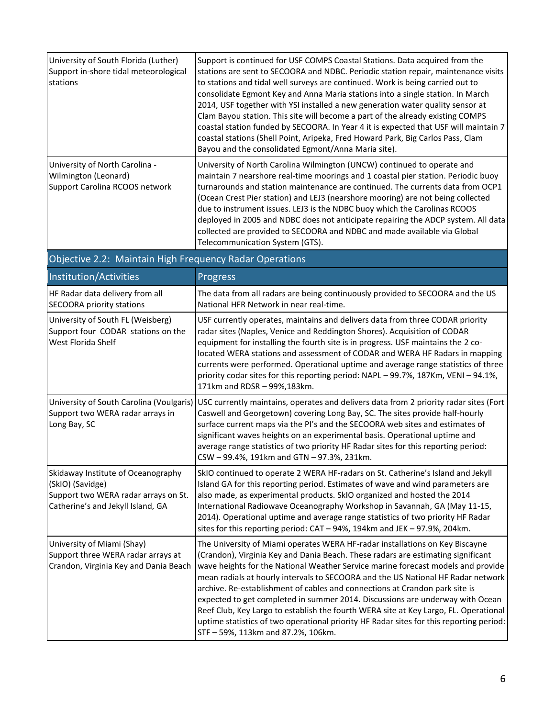| University of South Florida (Luther)<br>Support in-shore tidal meteorological<br>stations                                           | Support is continued for USF COMPS Coastal Stations. Data acquired from the<br>stations are sent to SECOORA and NDBC. Periodic station repair, maintenance visits<br>to stations and tidal well surveys are continued. Work is being carried out to<br>consolidate Egmont Key and Anna Maria stations into a single station. In March<br>2014, USF together with YSI installed a new generation water quality sensor at<br>Clam Bayou station. This site will become a part of the already existing COMPS<br>coastal station funded by SECOORA. In Year 4 it is expected that USF will maintain 7<br>coastal stations (Shell Point, Aripeka, Fred Howard Park, Big Carlos Pass, Clam<br>Bayou and the consolidated Egmont/Anna Maria site). |
|-------------------------------------------------------------------------------------------------------------------------------------|---------------------------------------------------------------------------------------------------------------------------------------------------------------------------------------------------------------------------------------------------------------------------------------------------------------------------------------------------------------------------------------------------------------------------------------------------------------------------------------------------------------------------------------------------------------------------------------------------------------------------------------------------------------------------------------------------------------------------------------------|
| University of North Carolina -<br>Wilmington (Leonard)<br>Support Carolina RCOOS network                                            | University of North Carolina Wilmington (UNCW) continued to operate and<br>maintain 7 nearshore real-time moorings and 1 coastal pier station. Periodic buoy<br>turnarounds and station maintenance are continued. The currents data from OCP1<br>(Ocean Crest Pier station) and LEJ3 (nearshore mooring) are not being collected<br>due to instrument issues. LEJ3 is the NDBC buoy which the Carolinas RCOOS<br>deployed in 2005 and NDBC does not anticipate repairing the ADCP system. All data<br>collected are provided to SECOORA and NDBC and made available via Global<br>Telecommunication System (GTS).                                                                                                                          |
| Objective 2.2: Maintain High Frequency Radar Operations                                                                             |                                                                                                                                                                                                                                                                                                                                                                                                                                                                                                                                                                                                                                                                                                                                             |
| Institution/Activities                                                                                                              | Progress                                                                                                                                                                                                                                                                                                                                                                                                                                                                                                                                                                                                                                                                                                                                    |
| HF Radar data delivery from all<br><b>SECOORA priority stations</b>                                                                 | The data from all radars are being continuously provided to SECOORA and the US<br>National HFR Network in near real-time.                                                                                                                                                                                                                                                                                                                                                                                                                                                                                                                                                                                                                   |
| University of South FL (Weisberg)<br>Support four CODAR stations on the<br>West Florida Shelf                                       | USF currently operates, maintains and delivers data from three CODAR priority<br>radar sites (Naples, Venice and Reddington Shores). Acquisition of CODAR<br>equipment for installing the fourth site is in progress. USF maintains the 2 co-<br>located WERA stations and assessment of CODAR and WERA HF Radars in mapping<br>currents were performed. Operational uptime and average range statistics of three<br>priority codar sites for this reporting period: NAPL - 99.7%, 187Km, VENI - 94.1%,<br>171km and RDSR - 99%, 183km.                                                                                                                                                                                                     |
| University of South Carolina (Voulgaris)<br>Support two WERA radar arrays in<br>Long Bay, SC                                        | USC currently maintains, operates and delivers data from 2 priority radar sites (Fort<br>Caswell and Georgetown) covering Long Bay, SC. The sites provide half-hourly<br>surface current maps via the PI's and the SECOORA web sites and estimates of<br>significant waves heights on an experimental basis. Operational uptime and<br>average range statistics of two priority HF Radar sites for this reporting period:<br>CSW - 99.4%, 191km and GTN - 97.3%, 231km.                                                                                                                                                                                                                                                                     |
| Skidaway Institute of Oceanography<br>(SkIO) (Savidge)<br>Support two WERA radar arrays on St.<br>Catherine's and Jekyll Island, GA | SkIO continued to operate 2 WERA HF-radars on St. Catherine's Island and Jekyll<br>Island GA for this reporting period. Estimates of wave and wind parameters are<br>also made, as experimental products. SkIO organized and hosted the 2014<br>International Radiowave Oceanography Workshop in Savannah, GA (May 11-15,<br>2014). Operational uptime and average range statistics of two priority HF Radar<br>sites for this reporting period: CAT - 94%, 194km and JEK - 97.9%, 204km.                                                                                                                                                                                                                                                   |
| University of Miami (Shay)<br>Support three WERA radar arrays at<br>Crandon, Virginia Key and Dania Beach                           | The University of Miami operates WERA HF-radar installations on Key Biscayne<br>(Crandon), Virginia Key and Dania Beach. These radars are estimating significant<br>wave heights for the National Weather Service marine forecast models and provide<br>mean radials at hourly intervals to SECOORA and the US National HF Radar network<br>archive. Re-establishment of cables and connections at Crandon park site is<br>expected to get completed in summer 2014. Discussions are underway with Ocean<br>Reef Club, Key Largo to establish the fourth WERA site at Key Largo, FL. Operational<br>uptime statistics of two operational priority HF Radar sites for this reporting period:<br>STF - 59%, 113km and 87.2%, 106km.           |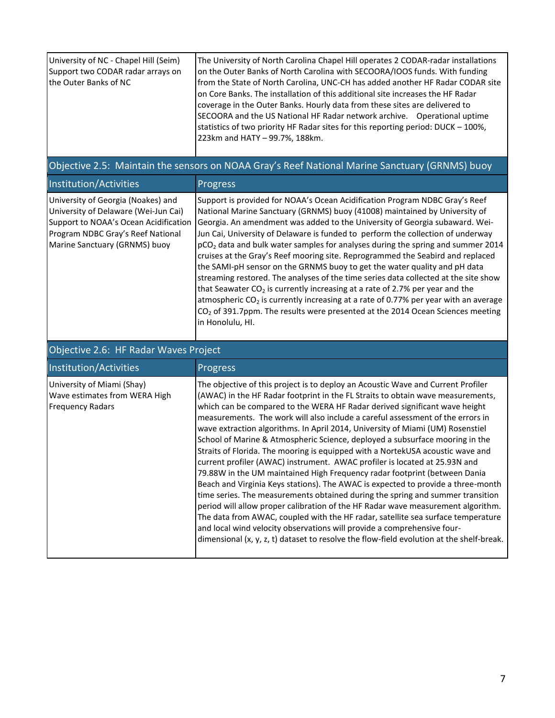| University of NC - Chapel Hill (Seim)<br>Support two CODAR radar arrays on<br>the Outer Banks of NC | The University of North Carolina Chapel Hill operates 2 CODAR-radar installations<br>on the Outer Banks of North Carolina with SECOORA/IOOS funds. With funding<br>from the State of North Carolina, UNC-CH has added another HF Radar CODAR site<br>on Core Banks. The installation of this additional site increases the HF Radar<br>coverage in the Outer Banks. Hourly data from these sites are delivered to<br>SECOORA and the US National HF Radar network archive.  Operational uptime<br>statistics of two priority HF Radar sites for this reporting period: DUCK - 100%, |
|-----------------------------------------------------------------------------------------------------|-------------------------------------------------------------------------------------------------------------------------------------------------------------------------------------------------------------------------------------------------------------------------------------------------------------------------------------------------------------------------------------------------------------------------------------------------------------------------------------------------------------------------------------------------------------------------------------|
|                                                                                                     | 223km and HATY - 99.7%, 188km.                                                                                                                                                                                                                                                                                                                                                                                                                                                                                                                                                      |

|  | Objective 2.5: Maintain the sensors on NOAA Gray's Reef National Marine Sanctuary (GRNMS) buoy |
|--|------------------------------------------------------------------------------------------------|
|--|------------------------------------------------------------------------------------------------|

| Institution/Activities                                                                                                                                                                    | Progress                                                                                                                                                                                                                                                                                                                                                                                                                                                                                                                                                                                                                                                                                                                                                                                                                                                                                                                                                            |
|-------------------------------------------------------------------------------------------------------------------------------------------------------------------------------------------|---------------------------------------------------------------------------------------------------------------------------------------------------------------------------------------------------------------------------------------------------------------------------------------------------------------------------------------------------------------------------------------------------------------------------------------------------------------------------------------------------------------------------------------------------------------------------------------------------------------------------------------------------------------------------------------------------------------------------------------------------------------------------------------------------------------------------------------------------------------------------------------------------------------------------------------------------------------------|
| University of Georgia (Noakes) and<br>University of Delaware (Wei-Jun Cai)<br>Support to NOAA's Ocean Acidification<br>Program NDBC Gray's Reef National<br>Marine Sanctuary (GRNMS) buoy | Support is provided for NOAA's Ocean Acidification Program NDBC Gray's Reef<br>National Marine Sanctuary (GRNMS) buoy (41008) maintained by University of<br>Georgia. An amendment was added to the University of Georgia subaward. Wei-<br>Jun Cai, University of Delaware is funded to perform the collection of underway<br>$pCO2$ data and bulk water samples for analyses during the spring and summer 2014<br>cruises at the Gray's Reef mooring site. Reprogrammed the Seabird and replaced<br>the SAMI-pH sensor on the GRNMS buoy to get the water quality and pH data<br>streaming restored. The analyses of the time series data collected at the site show<br>that Seawater $CO2$ is currently increasing at a rate of 2.7% per year and the<br>atmospheric $CO2$ is currently increasing at a rate of 0.77% per year with an average<br>CO <sub>2</sub> of 391.7ppm. The results were presented at the 2014 Ocean Sciences meeting<br>in Honolulu, HI. |
| Objective 2.6: HF Radar Waves Project                                                                                                                                                     |                                                                                                                                                                                                                                                                                                                                                                                                                                                                                                                                                                                                                                                                                                                                                                                                                                                                                                                                                                     |
| Institution/Activities                                                                                                                                                                    | <b>Progress</b>                                                                                                                                                                                                                                                                                                                                                                                                                                                                                                                                                                                                                                                                                                                                                                                                                                                                                                                                                     |
| University of Miami (Shay)<br>Wave estimates from WERA High<br><b>Frequency Radars</b>                                                                                                    | The objective of this project is to deploy an Acoustic Wave and Current Profiler<br>(AWAC) in the HF Radar footprint in the FL Straits to obtain wave measurements,<br>which can be compared to the WERA HF Radar derived significant wave height<br>measurements. The work will also include a careful assessment of the errors in<br>wave extraction algorithms. In April 2014, University of Miami (UM) Rosenstiel<br>School of Marine & Atmospheric Science, deployed a subsurface mooring in the<br>Straits of Florida. The mooring is equipped with a NortekUSA acoustic wave and<br>current profiler (AWAC) instrument. AWAC profiler is located at 25.93N and                                                                                                                                                                                                                                                                                               |

79.88W in the UM maintained High Frequency radar footprint (between Dania Beach and Virginia Keys stations). The AWAC is expected to provide a three-month time series. The measurements obtained during the spring and summer transition period will allow proper calibration of the HF Radar wave measurement algorithm. The data from AWAC, coupled with the HF radar, satellite sea surface temperature

dimensional (x, y, z, t) dataset to resolve the flow-field evolution at the shelf-break.

and local wind velocity observations will provide a comprehensive four-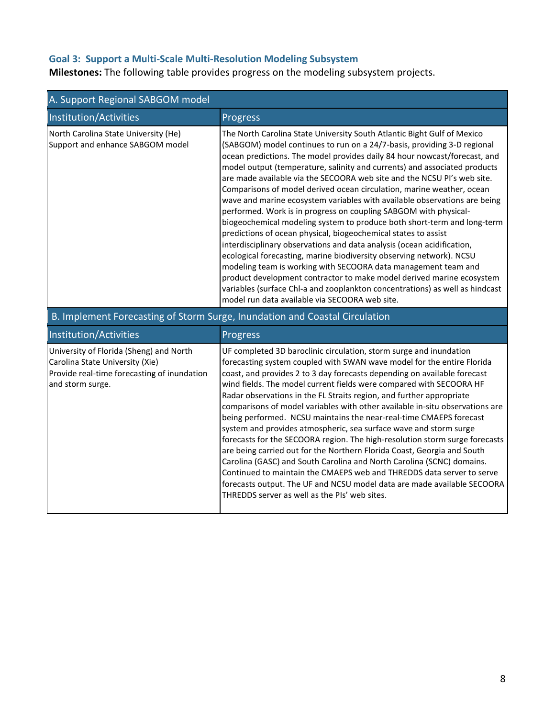# **Goal 3: Support a Multi-Scale Multi-Resolution Modeling Subsystem**

**Milestones:** The following table provides progress on the modeling subsystem projects.

| A. Support Regional SABGOM model                                                                                                              |                                                                                                                                                                                                                                                                                                                                                                                                                                                                                                                                                                                                                                                                                                                                                                                                                                                                                                                                                                                                                                                                                                                                                                                               |  |
|-----------------------------------------------------------------------------------------------------------------------------------------------|-----------------------------------------------------------------------------------------------------------------------------------------------------------------------------------------------------------------------------------------------------------------------------------------------------------------------------------------------------------------------------------------------------------------------------------------------------------------------------------------------------------------------------------------------------------------------------------------------------------------------------------------------------------------------------------------------------------------------------------------------------------------------------------------------------------------------------------------------------------------------------------------------------------------------------------------------------------------------------------------------------------------------------------------------------------------------------------------------------------------------------------------------------------------------------------------------|--|
| Institution/Activities                                                                                                                        | Progress                                                                                                                                                                                                                                                                                                                                                                                                                                                                                                                                                                                                                                                                                                                                                                                                                                                                                                                                                                                                                                                                                                                                                                                      |  |
| North Carolina State University (He)<br>Support and enhance SABGOM model                                                                      | The North Carolina State University South Atlantic Bight Gulf of Mexico<br>(SABGOM) model continues to run on a 24/7-basis, providing 3-D regional<br>ocean predictions. The model provides daily 84 hour nowcast/forecast, and<br>model output (temperature, salinity and currents) and associated products<br>are made available via the SECOORA web site and the NCSU PI's web site.<br>Comparisons of model derived ocean circulation, marine weather, ocean<br>wave and marine ecosystem variables with available observations are being<br>performed. Work is in progress on coupling SABGOM with physical-<br>biogeochemical modeling system to produce both short-term and long-term<br>predictions of ocean physical, biogeochemical states to assist<br>interdisciplinary observations and data analysis (ocean acidification,<br>ecological forecasting, marine biodiversity observing network). NCSU<br>modeling team is working with SECOORA data management team and<br>product development contractor to make model derived marine ecosystem<br>variables (surface Chl-a and zooplankton concentrations) as well as hindcast<br>model run data available via SECOORA web site. |  |
|                                                                                                                                               | B. Implement Forecasting of Storm Surge, Inundation and Coastal Circulation                                                                                                                                                                                                                                                                                                                                                                                                                                                                                                                                                                                                                                                                                                                                                                                                                                                                                                                                                                                                                                                                                                                   |  |
| Institution/Activities                                                                                                                        | Progress                                                                                                                                                                                                                                                                                                                                                                                                                                                                                                                                                                                                                                                                                                                                                                                                                                                                                                                                                                                                                                                                                                                                                                                      |  |
| University of Florida (Sheng) and North<br>Carolina State University (Xie)<br>Provide real-time forecasting of inundation<br>and storm surge. | UF completed 3D baroclinic circulation, storm surge and inundation<br>forecasting system coupled with SWAN wave model for the entire Florida<br>coast, and provides 2 to 3 day forecasts depending on available forecast<br>wind fields. The model current fields were compared with SECOORA HF<br>Radar observations in the FL Straits region, and further appropriate<br>comparisons of model variables with other available in-situ observations are<br>being performed. NCSU maintains the near-real-time CMAEPS forecast<br>system and provides atmospheric, sea surface wave and storm surge<br>forecasts for the SECOORA region. The high-resolution storm surge forecasts<br>are being carried out for the Northern Florida Coast, Georgia and South<br>Carolina (GASC) and South Carolina and North Carolina (SCNC) domains.<br>Continued to maintain the CMAEPS web and THREDDS data server to serve<br>forecasts output. The UF and NCSU model data are made available SECOORA<br>THREDDS server as well as the PIs' web sites.                                                                                                                                                    |  |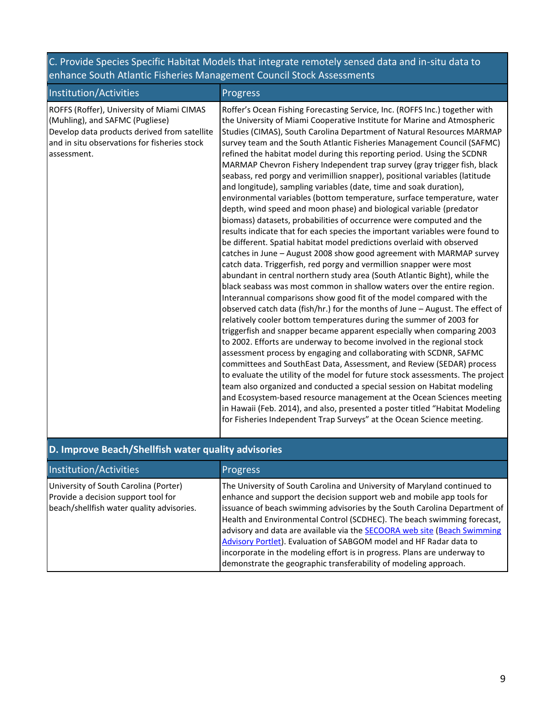# C. Provide Species Specific Habitat Models that integrate remotely sensed data and in-situ data to enhance South Atlantic Fisheries Management Council Stock Assessments

| Institution/Activities                                                                                                                                                                      | <b>Progress</b>                                                                                                                                                                                                                                                                                                                                                                                                                                                                                                                                                                                                                                                                                                                                                                                                                                                                                                                                                                                                                                                                                                                                                                                                                                                                                                                                                                                                                                                                                                                                                                                                                                                                                                                                                                                                                                                                                                                                                                                                                                                                                                                                                                                                                                       |
|---------------------------------------------------------------------------------------------------------------------------------------------------------------------------------------------|-------------------------------------------------------------------------------------------------------------------------------------------------------------------------------------------------------------------------------------------------------------------------------------------------------------------------------------------------------------------------------------------------------------------------------------------------------------------------------------------------------------------------------------------------------------------------------------------------------------------------------------------------------------------------------------------------------------------------------------------------------------------------------------------------------------------------------------------------------------------------------------------------------------------------------------------------------------------------------------------------------------------------------------------------------------------------------------------------------------------------------------------------------------------------------------------------------------------------------------------------------------------------------------------------------------------------------------------------------------------------------------------------------------------------------------------------------------------------------------------------------------------------------------------------------------------------------------------------------------------------------------------------------------------------------------------------------------------------------------------------------------------------------------------------------------------------------------------------------------------------------------------------------------------------------------------------------------------------------------------------------------------------------------------------------------------------------------------------------------------------------------------------------------------------------------------------------------------------------------------------------|
| ROFFS (Roffer), University of Miami CIMAS<br>(Muhling), and SAFMC (Pugliese)<br>Develop data products derived from satellite<br>and in situ observations for fisheries stock<br>assessment. | Roffer's Ocean Fishing Forecasting Service, Inc. (ROFFS Inc.) together with<br>the University of Miami Cooperative Institute for Marine and Atmospheric<br>Studies (CIMAS), South Carolina Department of Natural Resources MARMAP<br>survey team and the South Atlantic Fisheries Management Council (SAFMC)<br>refined the habitat model during this reporting period. Using the SCDNR<br>MARMAP Chevron Fishery Independent trap survey (gray trigger fish, black<br>seabass, red porgy and verimillion snapper), positional variables (latitude<br>and longitude), sampling variables (date, time and soak duration),<br>environmental variables (bottom temperature, surface temperature, water<br>depth, wind speed and moon phase) and biological variable (predator<br>biomass) datasets, probabilities of occurrence were computed and the<br>results indicate that for each species the important variables were found to<br>be different. Spatial habitat model predictions overlaid with observed<br>catches in June - August 2008 show good agreement with MARMAP survey<br>catch data. Triggerfish, red porgy and vermillion snapper were most<br>abundant in central northern study area (South Atlantic Bight), while the<br>black seabass was most common in shallow waters over the entire region.<br>Interannual comparisons show good fit of the model compared with the<br>observed catch data (fish/hr.) for the months of June - August. The effect of<br>relatively cooler bottom temperatures during the summer of 2003 for<br>triggerfish and snapper became apparent especially when comparing 2003<br>to 2002. Efforts are underway to become involved in the regional stock<br>assessment process by engaging and collaborating with SCDNR, SAFMC<br>committees and SouthEast Data, Assessment, and Review (SEDAR) process<br>to evaluate the utility of the model for future stock assessments. The project<br>team also organized and conducted a special session on Habitat modeling<br>and Ecosystem-based resource management at the Ocean Sciences meeting<br>in Hawaii (Feb. 2014), and also, presented a poster titled "Habitat Modeling<br>for Fisheries Independent Trap Surveys" at the Ocean Science meeting. |

#### **D. Improve Beach/Shellfish water quality advisories** Institution/Activities Progress University of South Carolina (Porter) Provide a decision support tool for beach/shellfish water quality advisories. The University of South Carolina and University of Maryland continued to enhance and support the decision support web and mobile app tools for issuance of beach swimming advisories by the South Carolina Department of Health and Environmental Control (SCDHEC). The beach swimming forecast, advisory and data are available via the [SECOORA web site](http://secoora.org/projects/beach_wq) [\(Beach Swimming](http://howsthebeach.org/)  [Advisory Portlet\)](http://howsthebeach.org/). Evaluation of SABGOM model and HF Radar data to incorporate in the modeling effort is in progress. Plans are underway to demonstrate the geographic transferability of modeling approach.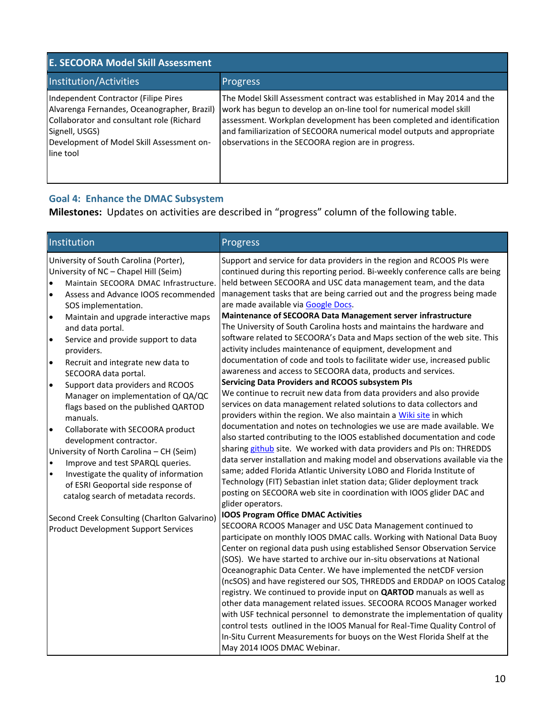| <b>E. SECOORA Model Skill Assessment</b>                                                                                                                                                                     |                                                                                                                                                                                                                                                                                                                                                           |  |
|--------------------------------------------------------------------------------------------------------------------------------------------------------------------------------------------------------------|-----------------------------------------------------------------------------------------------------------------------------------------------------------------------------------------------------------------------------------------------------------------------------------------------------------------------------------------------------------|--|
| Institution/Activities                                                                                                                                                                                       | <b>Progress</b>                                                                                                                                                                                                                                                                                                                                           |  |
| Independent Contractor (Filipe Pires<br>Alvarenga Fernandes, Oceanographer, Brazil)<br>Collaborator and consultant role (Richard<br>Signell, USGS)<br>Development of Model Skill Assessment on-<br>line tool | The Model Skill Assessment contract was established in May 2014 and the<br>work has begun to develop an on-line tool for numerical model skill<br>assessment. Workplan development has been completed and identification<br>and familiarization of SECOORA numerical model outputs and appropriate<br>observations in the SECOORA region are in progress. |  |

# **Goal 4: Enhance the DMAC Subsystem**

**Milestones:** Updates on activities are described in "progress" column of the following table.

|                                        | Institution                                  | Progress                                                                     |
|----------------------------------------|----------------------------------------------|------------------------------------------------------------------------------|
| University of South Carolina (Porter), |                                              | Support and service for data providers in the region and RCOOS PIs were      |
|                                        | University of NC - Chapel Hill (Seim)        | continued during this reporting period. Bi-weekly conference calls are being |
| $\bullet$                              | Maintain SECOORA DMAC Infrastructure.        | held between SECOORA and USC data management team, and the data              |
| $\bullet$                              | Assess and Advance IOOS recommended          | management tasks that are being carried out and the progress being made      |
|                                        | SOS implementation.                          | are made available via Google Docs.                                          |
| $\bullet$                              | Maintain and upgrade interactive maps        | <b>Maintenance of SECOORA Data Management server infrastructure</b>          |
|                                        | and data portal.                             | The University of South Carolina hosts and maintains the hardware and        |
| l•                                     | Service and provide support to data          | software related to SECOORA's Data and Maps section of the web site. This    |
|                                        | providers.                                   | activity includes maintenance of equipment, development and                  |
| l•                                     | Recruit and integrate new data to            | documentation of code and tools to facilitate wider use, increased public    |
|                                        | SECOORA data portal.                         | awareness and access to SECOORA data, products and services.                 |
| $\bullet$                              | Support data providers and RCOOS             | <b>Servicing Data Providers and RCOOS subsystem PIs</b>                      |
|                                        | Manager on implementation of QA/QC           | We continue to recruit new data from data providers and also provide         |
|                                        | flags based on the published QARTOD          | services on data management related solutions to data collectors and         |
|                                        | manuals.                                     | providers within the region. We also maintain a Wiki site in which           |
| $\bullet$                              | Collaborate with SECOORA product             | documentation and notes on technologies we use are made available. We        |
|                                        | development contractor.                      | also started contributing to the IOOS established documentation and code     |
|                                        | University of North Carolina - CH (Seim)     | sharing github site. We worked with data providers and PIs on: THREDDS       |
|                                        | Improve and test SPARQL queries.             | data server installation and making model and observations available via the |
| l.                                     | Investigate the quality of information       | same; added Florida Atlantic University LOBO and Florida Institute of        |
|                                        | of ESRI Geoportal side response of           | Technology (FIT) Sebastian inlet station data; Glider deployment track       |
|                                        | catalog search of metadata records.          | posting on SECOORA web site in coordination with IOOS glider DAC and         |
|                                        |                                              | glider operators.                                                            |
|                                        | Second Creek Consulting (Charlton Galvarino) | <b>IOOS Program Office DMAC Activities</b>                                   |
|                                        | <b>Product Development Support Services</b>  | SECOORA RCOOS Manager and USC Data Management continued to                   |
|                                        |                                              | participate on monthly IOOS DMAC calls. Working with National Data Buoy      |
|                                        |                                              | Center on regional data push using established Sensor Observation Service    |
|                                        |                                              | (SOS). We have started to archive our in-situ observations at National       |
|                                        |                                              | Oceanographic Data Center. We have implemented the netCDF version            |
|                                        |                                              | (ncSOS) and have registered our SOS, THREDDS and ERDDAP on IOOS Catalog      |
|                                        |                                              | registry. We continued to provide input on QARTOD manuals as well as         |
|                                        |                                              | other data management related issues. SECOORA RCOOS Manager worked           |
|                                        |                                              | with USF technical personnel to demonstrate the implementation of quality    |
|                                        |                                              | control tests outlined in the IOOS Manual for Real-Time Quality Control of   |
|                                        |                                              | In-Situ Current Measurements for buoys on the West Florida Shelf at the      |
|                                        |                                              | May 2014 IOOS DMAC Webinar.                                                  |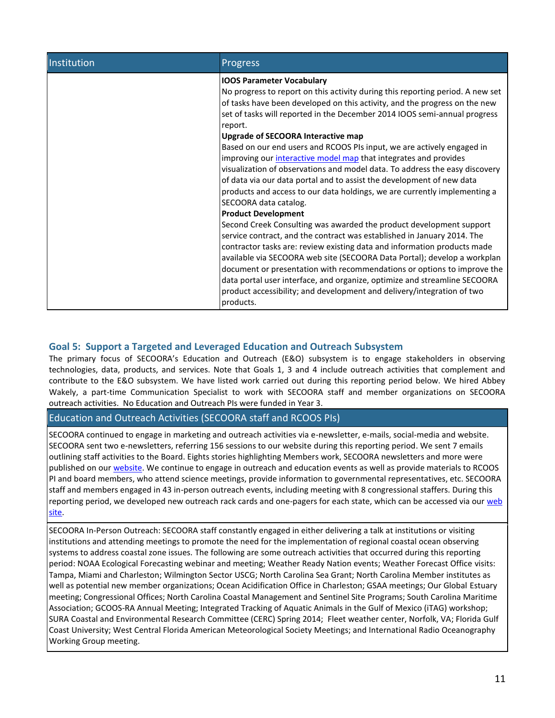| <b>IOOS Parameter Vocabulary</b><br>No progress to report on this activity during this reporting period. A new set<br>of tasks have been developed on this activity, and the progress on the new<br>set of tasks will reported in the December 2014 IOOS semi-annual progress<br>report.<br>Upgrade of SECOORA Interactive map<br>Based on our end users and RCOOS PIs input, we are actively engaged in<br>improving our interactive model map that integrates and provides<br>visualization of observations and model data. To address the easy discovery<br>of data via our data portal and to assist the development of new data<br>products and access to our data holdings, we are currently implementing a<br>SECOORA data catalog.<br><b>Product Development</b><br>Second Creek Consulting was awarded the product development support<br>service contract, and the contract was established in January 2014. The | Institution | <b>Progress</b>                                                          |
|----------------------------------------------------------------------------------------------------------------------------------------------------------------------------------------------------------------------------------------------------------------------------------------------------------------------------------------------------------------------------------------------------------------------------------------------------------------------------------------------------------------------------------------------------------------------------------------------------------------------------------------------------------------------------------------------------------------------------------------------------------------------------------------------------------------------------------------------------------------------------------------------------------------------------|-------------|--------------------------------------------------------------------------|
| available via SECOORA web site (SECOORA Data Portal); develop a workplan<br>document or presentation with recommendations or options to improve the<br>data portal user interface, and organize, optimize and streamline SECOORA<br>product accessibility; and development and delivery/integration of two<br>products.                                                                                                                                                                                                                                                                                                                                                                                                                                                                                                                                                                                                    |             | contractor tasks are: review existing data and information products made |

# **Goal 5: Support a Targeted and Leveraged Education and Outreach Subsystem**

The primary focus of SECOORA's Education and Outreach (E&O) subsystem is to engage stakeholders in observing technologies, data, products, and services. Note that Goals 1, 3 and 4 include outreach activities that complement and contribute to the E&O subsystem. We have listed work carried out during this reporting period below. We hired Abbey Wakely, a part-time Communication Specialist to work with SECOORA staff and member organizations on SECOORA outreach activities. No Education and Outreach PIs were funded in Year 3.

### Education and Outreach Activities (SECOORA staff and RCOOS PIs)

SECOORA continued to engage in marketing and outreach activities via e-newsletter, e-mails, social-media and website. SECOORA sent two e-newsletters, referring 156 sessions to our website during this reporting period. We sent 7 emails outlining staff activities to the Board. Eights stories highlighting Members work, SECOORA newsletters and more were published on our [website.](http://secoora.org/news) We continue to engage in outreach and education events as well as provide materials to RCOOS PI and board members, who attend science meetings, provide information to governmental representatives, etc. SECOORA staff and members engaged in 43 in-person outreach events, including meeting with 8 congressional staffers. During this reporting period, we developed new outreach rack cards and one-pagers for each state, which can be accessed via our [web](http://secoora.org/members/frequent_docs) [site.](http://secoora.org/members/frequent_docs)

SECOORA In-Person Outreach: SECOORA staff constantly engaged in either delivering a talk at institutions or visiting institutions and attending meetings to promote the need for the implementation of regional coastal ocean observing systems to address coastal zone issues. The following are some outreach activities that occurred during this reporting period: NOAA Ecological Forecasting webinar and meeting; Weather Ready Nation events; Weather Forecast Office visits: Tampa, Miami and Charleston; Wilmington Sector USCG; North Carolina Sea Grant; North Carolina Member institutes as well as potential new member organizations; Ocean Acidification Office in Charleston; GSAA meetings; Our Global Estuary meeting; Congressional Offices; North Carolina Coastal Management and Sentinel Site Programs; South Carolina Maritime Association; GCOOS-RA Annual Meeting; Integrated Tracking of Aquatic Animals in the Gulf of Mexico (iTAG) workshop; SURA Coastal and Environmental Research Committee (CERC) Spring 2014; Fleet weather center, Norfolk, VA; Florida Gulf Coast University; West Central Florida American Meteorological Society Meetings; and International Radio Oceanography Working Group meeting.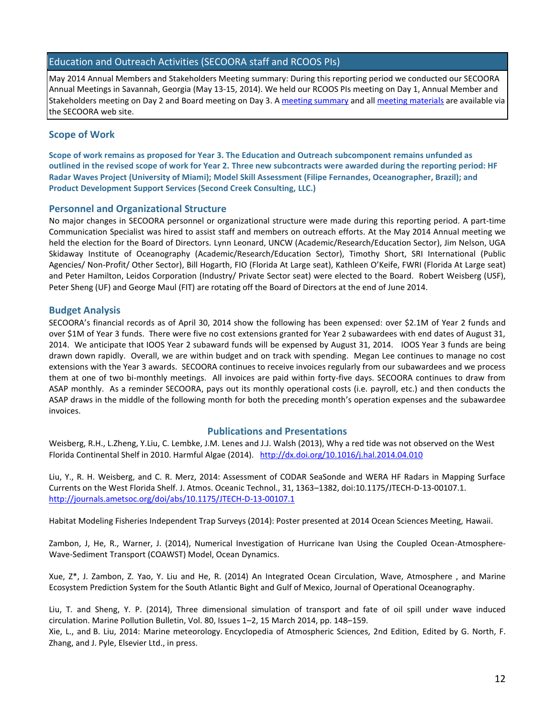# Education and Outreach Activities (SECOORA staff and RCOOS PIs)

May 2014 Annual Members and Stakeholders Meeting summary: During this reporting period we conducted our SECOORA Annual Meetings in Savannah, Georgia (May 13-15, 2014). We held our RCOOS PIs meeting on Day 1, Annual Member and Stakeholders meeting on Day 2 and Board meeting on Day 3. A [meeting summary](http://secoora.org/node/419) and all [meeting materials](http://secoora.org/node/424) are available via the SECOORA web site.

## **Scope of Work**

**Scope of work remains as proposed for Year 3. The Education and Outreach subcomponent remains unfunded as outlined in the revised scope of work for Year 2. Three new subcontracts were awarded during the reporting period: HF Radar Waves Project (University of Miami); Model Skill Assessment (Filipe Fernandes, Oceanographer, Brazil); and Product Development Support Services (Second Creek Consulting, LLC.)**

#### **Personnel and Organizational Structure**

No major changes in SECOORA personnel or organizational structure were made during this reporting period. A part-time Communication Specialist was hired to assist staff and members on outreach efforts. At the May 2014 Annual meeting we held the election for the Board of Directors. Lynn Leonard, UNCW (Academic/Research/Education Sector), Jim Nelson, UGA Skidaway Institute of Oceanography (Academic/Research/Education Sector), Timothy Short, SRI International (Public Agencies/ Non-Profit/ Other Sector), Bill Hogarth, FIO (Florida At Large seat), Kathleen O'Keife, FWRI (Florida At Large seat) and Peter Hamilton, Leidos Corporation (Industry/ Private Sector seat) were elected to the Board. Robert Weisberg (USF), Peter Sheng (UF) and George Maul (FIT) are rotating off the Board of Directors at the end of June 2014.

#### **Budget Analysis**

SECOORA's financial records as of April 30, 2014 show the following has been expensed: over \$2.1M of Year 2 funds and over \$1M of Year 3 funds. There were five no cost extensions granted for Year 2 subawardees with end dates of August 31, 2014. We anticipate that IOOS Year 2 subaward funds will be expensed by August 31, 2014. IOOS Year 3 funds are being drawn down rapidly. Overall, we are within budget and on track with spending. Megan Lee continues to manage no cost extensions with the Year 3 awards. SECOORA continues to receive invoices regularly from our subawardees and we process them at one of two bi-monthly meetings. All invoices are paid within forty-five days. SECOORA continues to draw from ASAP monthly. As a reminder SECOORA, pays out its monthly operational costs (i.e. payroll, etc.) and then conducts the ASAP draws in the middle of the following month for both the preceding month's operation expenses and the subawardee invoices.

### **Publications and Presentations**

Weisberg, R.H., L.Zheng, Y.Liu, C. Lembke, J.M. Lenes and J.J. Walsh (2013), Why a red tide was not observed on the West Florida Continental Shelf in 2010. Harmful Algae (2014). <http://dx.doi.org/10.1016/j.hal.2014.04.010>

Liu, Y., R. H. Weisberg, and C. R. Merz, 2014: Assessment of CODAR SeaSonde and WERA HF Radars in Mapping Surface Currents on the West Florida Shelf. J. Atmos. Oceanic Technol., 31, 1363–1382, doi:10.1175/JTECH-D-13-00107.1. <http://journals.ametsoc.org/doi/abs/10.1175/JTECH-D-13-00107.1>

Habitat Modeling Fisheries Independent Trap Surveys (2014): Poster presented at 2014 Ocean Sciences Meeting, Hawaii.

Zambon, J, He, R., Warner, J. (2014), Numerical Investigation of Hurricane Ivan Using the Coupled Ocean-Atmosphere-Wave-Sediment Transport (COAWST) Model, Ocean Dynamics.

Xue, Z\*, J. Zambon, Z. Yao, Y. Liu and He, R. (2014) An Integrated Ocean Circulation, Wave, Atmosphere , and Marine Ecosystem Prediction System for the South Atlantic Bight and Gulf of Mexico, Journal of Operational Oceanography.

Liu, T. and Sheng, Y. P. (2014), Three dimensional simulation of transport and fate of oil spill under wave induced circulation. Marine Pollution Bulletin, Vol. 80, Issues 1–2, 15 March 2014, pp. 148–159.

Xie, L., and B. Liu, 2014: Marine meteorology. Encyclopedia of Atmospheric Sciences, 2nd Edition, Edited by G. North, F. Zhang, and J. Pyle, Elsevier Ltd., in press.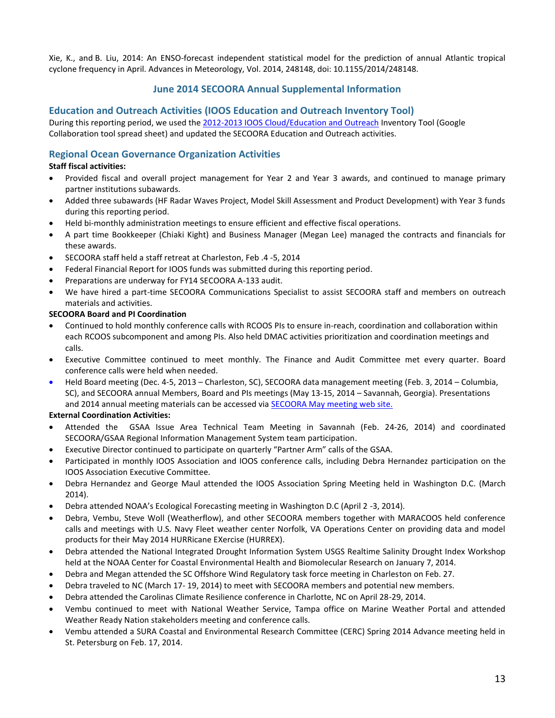Xie, K., and B. Liu, 2014: An ENSO-forecast independent statistical model for the prediction of annual Atlantic tropical cyclone frequency in April. Advances in Meteorology, Vol. 2014, 248148, doi: 10.1155/2014/248148.

# **June 2014 SECOORA Annual Supplemental Information**

## **Education and Outreach Activities (IOOS Education and Outreach Inventory Tool)**

During this reporting period, we used the [2012-2013 IOOS Cloud/Education and Outreach](https://sites.google.com/a/noaa.gov/iooscloud/education-outreach) Inventory Tool (Google Collaboration tool spread sheet) and updated the SECOORA Education and Outreach activities.

## **Regional Ocean Governance Organization Activities**

#### **Staff fiscal activities:**

- Provided fiscal and overall project management for Year 2 and Year 3 awards, and continued to manage primary partner institutions subawards.
- Added three subawards (HF Radar Waves Project, Model Skill Assessment and Product Development) with Year 3 funds during this reporting period.
- Held bi-monthly administration meetings to ensure efficient and effective fiscal operations.
- A part time Bookkeeper (Chiaki Kight) and Business Manager (Megan Lee) managed the contracts and financials for these awards.
- SECOORA staff held a staff retreat at Charleston, Feb .4 -5, 2014
- Federal Financial Report for IOOS funds was submitted during this reporting period.
- Preparations are underway for FY14 SECOORA A-133 audit.
- We have hired a part-time SECOORA Communications Specialist to assist SECOORA staff and members on outreach materials and activities.

#### **SECOORA Board and PI Coordination**

- Continued to hold monthly conference calls with RCOOS PIs to ensure in-reach, coordination and collaboration within each RCOOS subcomponent and among PIs. Also held DMAC activities prioritization and coordination meetings and calls.
- Executive Committee continued to meet monthly. The Finance and Audit Committee met every quarter. Board conference calls were held when needed.
- Held Board meeting (Dec. 4-5, 2013 Charleston, SC), SECOORA data management meeting (Feb. 3, 2014 Columbia, SC), and SECOORA annual Members, Board and PIs meetings (May 13-15, 2014 – Savannah, Georgia). Presentations and 2014 annual meeting materials can be accessed via [SECOORA May meeting web site.](http://secoora.org/node/424)

### **External Coordination Activities:**

- Attended the GSAA Issue Area Technical Team Meeting in Savannah (Feb. 24-26, 2014) and coordinated SECOORA/GSAA Regional Information Management System team participation.
- Executive Director continued to participate on quarterly "Partner Arm" calls of the GSAA.
- Participated in monthly IOOS Association and IOOS conference calls, including Debra Hernandez participation on the IOOS Association Executive Committee.
- Debra Hernandez and George Maul attended the IOOS Association Spring Meeting held in Washington D.C. (March 2014).
- Debra attended NOAA's Ecological Forecasting meeting in Washington D.C (April 2 -3, 2014).
- Debra, Vembu, Steve Woll (Weatherflow), and other SECOORA members together with MARACOOS held conference calls and meetings with U.S. Navy Fleet weather center Norfolk, VA Operations Center on providing data and model products for their May 2014 HURRicane EXercise (HURREX).
- Debra attended the National Integrated Drought Information System USGS Realtime Salinity Drought Index Workshop held at the NOAA Center for Coastal Environmental Health and Biomolecular Research on January 7, 2014.
- Debra and Megan attended the SC Offshore Wind Regulatory task force meeting in Charleston on Feb. 27.
- Debra traveled to NC (March 17- 19, 2014) to meet with SECOORA members and potential new members.
- Debra attended the Carolinas Climate Resilience conference in Charlotte, NC on April 28-29, 2014.
- Vembu continued to meet with National Weather Service, Tampa office on Marine Weather Portal and attended Weather Ready Nation stakeholders meeting and conference calls.
- Vembu attended a SURA Coastal and Environmental Research Committee (CERC) Spring 2014 Advance meeting held in St. Petersburg on Feb. 17, 2014.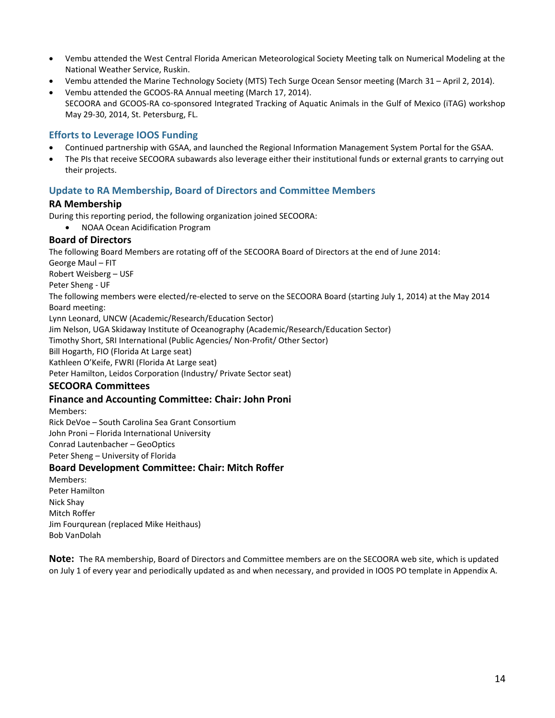- Vembu attended the West Central Florida American Meteorological Society Meeting talk on Numerical Modeling at the National Weather Service, Ruskin.
- Vembu attended the Marine Technology Society (MTS) Tech Surge Ocean Sensor meeting (March 31 April 2, 2014).
- Vembu attended the GCOOS-RA Annual meeting (March 17, 2014). SECOORA and GCOOS-RA co-sponsored Integrated Tracking of Aquatic Animals in the Gulf of Mexico (iTAG) workshop May 29-30, 2014, St. Petersburg, FL.

### **Efforts to Leverage IOOS Funding**

- Continued partnership with GSAA, and launched the Regional Information Management System Portal for the GSAA.
- The PIs that receive SECOORA subawards also leverage either their institutional funds or external grants to carrying out their projects.

# **Update to RA Membership, Board of Directors and Committee Members**

### **RA Membership**

During this reporting period, the following organization joined SECOORA:

NOAA Ocean Acidification Program

### **Board of Directors**

The following Board Members are rotating off of the SECOORA Board of Directors at the end of June 2014: George Maul – FIT Robert Weisberg – USF Peter Sheng - UF The following members were elected/re-elected to serve on the SECOORA Board (starting July 1, 2014) at the May 2014 Board meeting: Lynn Leonard, UNCW (Academic/Research/Education Sector) Jim Nelson, UGA Skidaway Institute of Oceanography (Academic/Research/Education Sector) Timothy Short, SRI International (Public Agencies/ Non-Profit/ Other Sector) Bill Hogarth, FIO (Florida At Large seat) Kathleen O'Keife, FWRI (Florida At Large seat) Peter Hamilton, Leidos Corporation (Industry/ Private Sector seat) **SECOORA Committees Finance and Accounting Committee: Chair: John Proni**

Members: Rick DeVoe – South Carolina Sea Grant Consortium John Proni – Florida International University Conrad Lautenbacher – GeoOptics Peter Sheng – University of Florida

### **Board Development Committee: Chair: Mitch Roffer**

Members: Peter Hamilton Nick Shay Mitch Roffer Jim Fourqurean (replaced Mike Heithaus) Bob VanDolah

**Note:** The RA membership, Board of Directors and Committee members are on the SECOORA web site, which is updated on July 1 of every year and periodically updated as and when necessary, and provided in IOOS PO template in Appendix A.